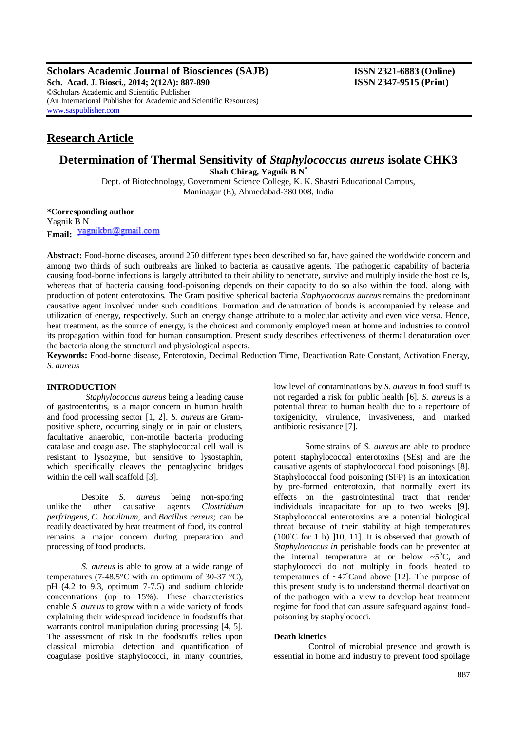**Scholars Academic Journal of Biosciences (SAJB) ISSN 2321-6883 (Online)**

**Sch. Acad. J. Biosci., 2014; 2(12A): 887-890 ISSN 2347-9515 (Print)** ©Scholars Academic and Scientific Publisher (An International Publisher for Academic and Scientific Resources) [www.saspublisher.com](http://www.saspublisher.com/)

# **Research Article**

# **Determination of Thermal Sensitivity of** *Staphylococcus aureus* **isolate CHK3 Shah Chirag, Yagnik B N\***

Dept. of Biotechnology, Government Science College, K. K. Shastri Educational Campus, Maninagar (E), Ahmedabad-380 008, India

**\*Corresponding author** Yagnik B N Email: yagnikbn@gmail.com

**Abstract:** Food-borne diseases, around 250 different types been described so far, have gained the worldwide concern and among two thirds of such outbreaks are linked to bacteria as causative agents. The pathogenic capability of bacteria causing food-borne infections is largely attributed to their ability to penetrate, survive and multiply inside the host cells, whereas that of bacteria causing food-poisoning depends on their capacity to do so also within the food, along with production of potent enterotoxins. The Gram positive spherical bacteria *Staphylococcus aureus* remains the predominant causative agent involved under such conditions. Formation and denaturation of bonds is accompanied by release and utilization of energy, respectively. Such an energy change attribute to a molecular activity and even vice versa. Hence, heat treatment, as the source of energy, is the choicest and commonly employed mean at home and industries to control its propagation within food for human consumption. Present study describes effectiveness of thermal denaturation over the bacteria along the structural and physiological aspects.

**Keywords:** Food-borne disease, Enterotoxin, Decimal Reduction Time, Deactivation Rate Constant, Activation Energy, *S. aureus*

# **INTRODUCTION**

*Staphylococcus aureus* being a leading cause of gastroenteritis, is a major concern in human health and food processing sector [1, 2]. *S. aureus* are Grampositive sphere, occurring singly or in pair or clusters, facultative anaerobic, non-motile bacteria producing catalase and coagulase. The staphylococcal cell wall is resistant to lysozyme, but sensitive to lysostaphin, which specifically cleaves the pentaglycine bridges within the cell wall scaffold [3].

Despite *S. aureus* being non-sporing unlike the other causative agents *Clostridium perfringens*, *C. botulinum*, and *Bacillus cereus;* can be readily deactivated by heat treatment of food, its control remains a major concern during preparation and processing of food products.

 *S. aureus* is able to grow at a wide range of temperatures (7-48.5 $\degree$ C with an optimum of 30-37 $\degree$ C), pH (4.2 to 9.3, optimum 7-7.5) and sodium chloride concentrations (up to 15%). These characteristics enable *S. aureus* to grow within a wide variety of foods explaining their widespread incidence in foodstuffs that warrants control manipulation during processing [4, 5]. The assessment of risk in the foodstuffs relies upon classical microbial detection and quantification of coagulase positive staphylococci, in many countries,

low level of contaminations by *S. aureus* in food stuff is not regarded a risk for public health [6]. *S. aureus* is a potential threat to human health due to a repertoire of toxigenicity, virulence, invasiveness, and marked antibiotic resistance [7].

Some strains of *S. aureus* are able to produce potent staphylococcal enterotoxins (SEs) and are the causative agents of staphylococcal food poisonings [8]. Staphylococcal food poisoning (SFP) is an intoxication by pre-formed enterotoxin, that normally exert its effects on the gastrointestinal tract that render individuals incapacitate for up to two weeks [9]. Staphylococcal enterotoxins are a potential biological threat because of their stability at high temperatures  $(100°C)$  for 1 h) [10, 11]. It is observed that growth of *Staphylococcus in* perishable foods can be prevented at the internal temperature at or below  $\sim 5^{\circ}$ C, and staphylococci do not multiply in foods heated to temperatures of  $\sim$ 47°Cand above [12]. The purpose of this present study is to understand thermal deactivation of the pathogen with a view to develop heat treatment regime for food that can assure safeguard against foodpoisoning by staphylococci.

# **Death kinetics**

Control of microbial presence and growth is essential in home and industry to prevent food spoilage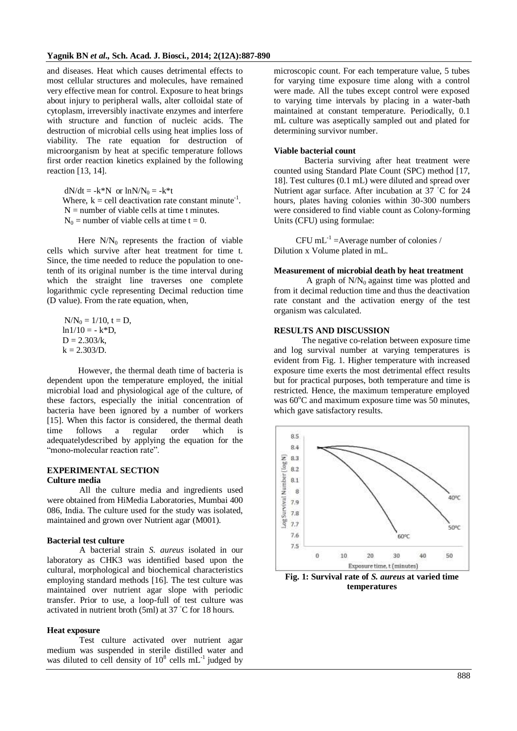and diseases. Heat which causes detrimental effects to most cellular structures and molecules, have remained very effective mean for control. Exposure to heat brings about injury to peripheral walls, alter colloidal state of cytoplasm, irreversibly inactivate enzymes and interfere with structure and function of nucleic acids. The destruction of microbial cells using heat implies loss of viability. The rate equation for destruction of microorganism by heat at specific temperature follows first order reaction kinetics explained by the following reaction [13, 14].

 $dN/dt = -k*N$  or  $lnN/N_0 = -k*t$ Where,  $k =$  cell deactivation rate constant minute<sup>-1</sup>.  $N =$  number of viable cells at time t minutes.  $N_0$  = number of viable cells at time t = 0.

Here  $N/N_0$  represents the fraction of viable cells which survive after heat treatment for time t. Since, the time needed to reduce the population to onetenth of its original number is the time interval during which the straight line traverses one complete logarithmic cycle representing Decimal reduction time (D value). From the rate equation, when,

 $N/N_0 = 1/10$ ,  $t = D$ ,  $ln 1/10 = -k*D$ ,  $D = 2.303/k$ ,  $k = 2.303/D$ .

However, the thermal death time of bacteria is dependent upon the temperature employed, the initial microbial load and physiological age of the culture, of these factors, especially the initial concentration of bacteria have been ignored by a number of workers [15]. When this factor is considered, the thermal death time follows a regular order which is adequatelydescribed by applying the equation for the "mono-molecular reaction rate".

## **EXPERIMENTAL SECTION Culture media**

 All the culture media and ingredients used were obtained from HiMedia Laboratories, Mumbai 400 086, India. The culture used for the study was isolated, maintained and grown over Nutrient agar (M001).

#### **Bacterial test culture**

 A bacterial strain *S. aureus* isolated in our laboratory as CHK3 was identified based upon the cultural, morphological and biochemical characteristics employing standard methods [16]. The test culture was maintained over nutrient agar slope with periodic transfer. Prior to use, a loop-full of test culture was activated in nutrient broth (5ml) at 37 ◦C for 18 hours.

#### **Heat exposure**

 Test culture activated over nutrient agar medium was suspended in sterile distilled water and was diluted to cell density of  $10^8$  cells mL<sup>-1</sup> judged by

microscopic count. For each temperature value, 5 tubes for varying time exposure time along with a control were made. All the tubes except control were exposed to varying time intervals by placing in a water-bath maintained at constant temperature. Periodically, 0.1 mL culture was aseptically sampled out and plated for determining survivor number.

#### **Viable bacterial count**

 Bacteria surviving after heat treatment were counted using Standard Plate Count (SPC) method [17, 18]. Test cultures (0.1 mL) were diluted and spread over Nutrient agar surface. After incubation at 37 ◦C for 24 hours, plates having colonies within 30-300 numbers were considered to find viable count as Colony-forming Units (CFU) using formulae:

CFU  $mL^{-1}$  = Average number of colonies / Dilution x Volume plated in mL.

#### **Measurement of microbial death by heat treatment**

A graph of  $N/N_0$  against time was plotted and from it decimal reduction time and thus the deactivation rate constant and the activation energy of the test organism was calculated.

### **RESULTS AND DISCUSSION**

The negative co-relation between exposure time and log survival number at varying temperatures is evident from Fig. 1. Higher temperature with increased exposure time exerts the most detrimental effect results but for practical purposes, both temperature and time is restricted. Hence, the maximum temperature employed was  $60^{\circ}$ C and maximum exposure time was 50 minutes, which gave satisfactory results.



**Fig. 1: Survival rate of** *S. aureus* **at varied time temperatures**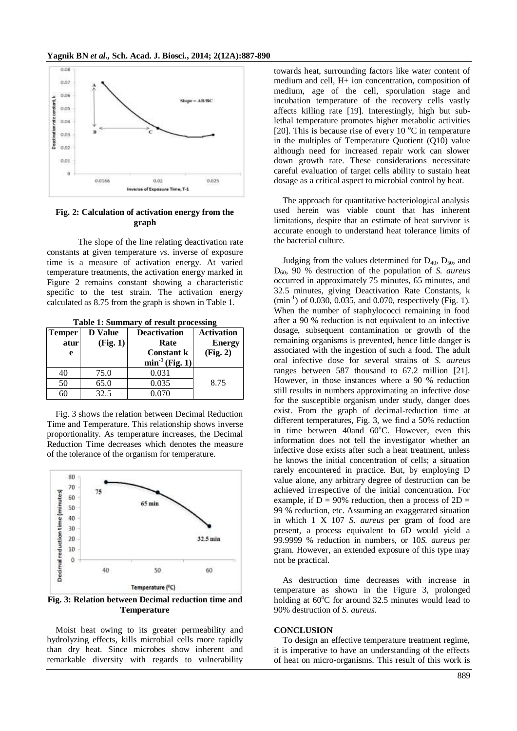

# **Fig. 2: Calculation of activation energy from the graph**

The slope of the line relating deactivation rate constants at given temperature *vs*. inverse of exposure time is a measure of activation energy. At varied temperature treatments, the activation energy marked in Figure 2 remains constant showing a characteristic specific to the test strain. The activation energy calculated as 8.75 from the graph is shown in Table 1.

**Table 1: Summary of result processing**

| <b>Temper</b> | <b>D</b> Value | <b>Deactivation</b>          | <b>Activation</b> |
|---------------|----------------|------------------------------|-------------------|
| atur          | (Fig. 1)       | Rate                         | <b>Energy</b>     |
| e             |                | <b>Constant k</b>            | (Fig. 2)          |
|               |                | $\min$ <sup>1</sup> (Fig. 1) |                   |
| 40            | 75.0           | 0.031                        |                   |
| 50            | 65.0           | 0.035                        | 8.75              |
| 60            | 32.5           | 0.070                        |                   |

Fig. 3 shows the relation between Decimal Reduction Time and Temperature. This relationship shows inverse proportionality. As temperature increases, the Decimal Reduction Time decreases which denotes the measure of the tolerance of the organism for temperature.



**Fig. 3: Relation between Decimal reduction time and Temperature**

Moist heat owing to its greater permeability and hydrolyzing effects, kills microbial cells more rapidly than dry heat. Since microbes show inherent and remarkable diversity with regards to vulnerability

towards heat, surrounding factors like water content of medium and cell, H+ ion concentration, composition of medium, age of the cell, sporulation stage and incubation temperature of the recovery cells vastly affects killing rate [19]. Interestingly, high but sublethal temperature promotes higher metabolic activities [20]. This is because rise of every 10  $^{\circ}$ C in temperature in the multiples of Temperature Quotient (Q10) value although need for increased repair work can slower down growth rate. These considerations necessitate careful evaluation of target cells ability to sustain heat dosage as a critical aspect to microbial control by heat.

The approach for quantitative bacteriological analysis used herein was viable count that has inherent limitations, despite that an estimate of heat survivor is accurate enough to understand heat tolerance limits of the bacterial culture.

Judging from the values determined for  $D_{40}$ ,  $D_{50}$ , and D60, 90 % destruction of the population of *S. aureus* occurred in approximately 75 minutes, 65 minutes, and 32.5 minutes, giving Deactivation Rate Constants, k (min<sup>-1</sup>) of 0.030, 0.035, and 0.070, respectively (Fig. 1). When the number of staphylococci remaining in food after a 90 % reduction is not equivalent to an infective dosage, subsequent contamination or growth of the remaining organisms is prevented, hence little danger is associated with the ingestion of such a food. The adult oral infective dose for several strains of *S. aureus* ranges between 587 thousand to 67.2 million [21]. However, in those instances where a 90 % reduction still results in numbers approximating an infective dose for the susceptible organism under study, danger does exist. From the graph of decimal-reduction time at different temperatures, Fig. 3, we find a 50% reduction in time between 40and  $60^{\circ}$ C. However, even this information does not tell the investigator whether an infective dose exists after such a heat treatment, unless he knows the initial concentration of cells; a situation rarely encountered in practice. But, by employing D value alone, any arbitrary degree of destruction can be achieved irrespective of the initial concentration. For example, if  $D = 90\%$  reduction, then a process of  $2D =$ 99 % reduction, etc. Assuming an exaggerated situation in which 1 X 107 *S. aureus* per gram of food are present, a process equivalent to 6D would yield a 99.9999 % reduction in numbers, or 10*S. aureus* per gram. However, an extended exposure of this type may not be practical.

As destruction time decreases with increase in temperature as shown in the Figure 3, prolonged holding at  $60^{\circ}$ C for around 32.5 minutes would lead to 90% destruction of *S. aureus.*

### **CONCLUSION**

To design an effective temperature treatment regime, it is imperative to have an understanding of the effects of heat on micro-organisms. This result of this work is